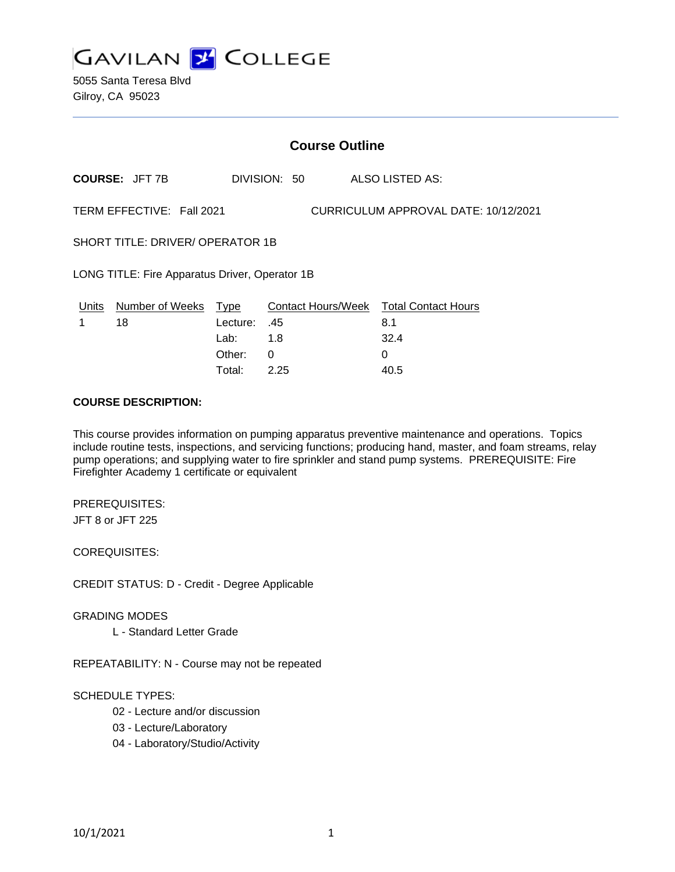

5055 Santa Teresa Blvd Gilroy, CA 95023

|                                                | <b>Course Outline</b>     |          |              |                                        |  |
|------------------------------------------------|---------------------------|----------|--------------|----------------------------------------|--|
|                                                | <b>COURSE: JFT 7B</b>     |          | DIVISION: 50 | ALSO LISTED AS:                        |  |
|                                                | TERM EFFECTIVE: Fall 2021 |          |              | CURRICULUM APPROVAL DATE: 10/12/2021   |  |
| <b>SHORT TITLE: DRIVER/ OPERATOR 1B</b>        |                           |          |              |                                        |  |
| LONG TITLE: Fire Apparatus Driver, Operator 1B |                           |          |              |                                        |  |
| Units                                          | Number of Weeks           | Type     |              | Contact Hours/Week Total Contact Hours |  |
| 1                                              | 18                        | Lecture: | .45          | 8.1                                    |  |
|                                                |                           | Lab:     | 1.8          | 32.4                                   |  |
|                                                |                           | Other:   | 0            | $\Omega$                               |  |
|                                                |                           | Total:   | 2.25         | 40.5                                   |  |

#### **COURSE DESCRIPTION:**

This course provides information on pumping apparatus preventive maintenance and operations. Topics include routine tests, inspections, and servicing functions; producing hand, master, and foam streams, relay pump operations; and supplying water to fire sprinkler and stand pump systems. PREREQUISITE: Fire Firefighter Academy 1 certificate or equivalent

PREREQUISITES: JFT 8 or JFT 225

COREQUISITES:

CREDIT STATUS: D - Credit - Degree Applicable

GRADING MODES

L - Standard Letter Grade

REPEATABILITY: N - Course may not be repeated

#### SCHEDULE TYPES:

- 02 Lecture and/or discussion
- 03 Lecture/Laboratory
- 04 Laboratory/Studio/Activity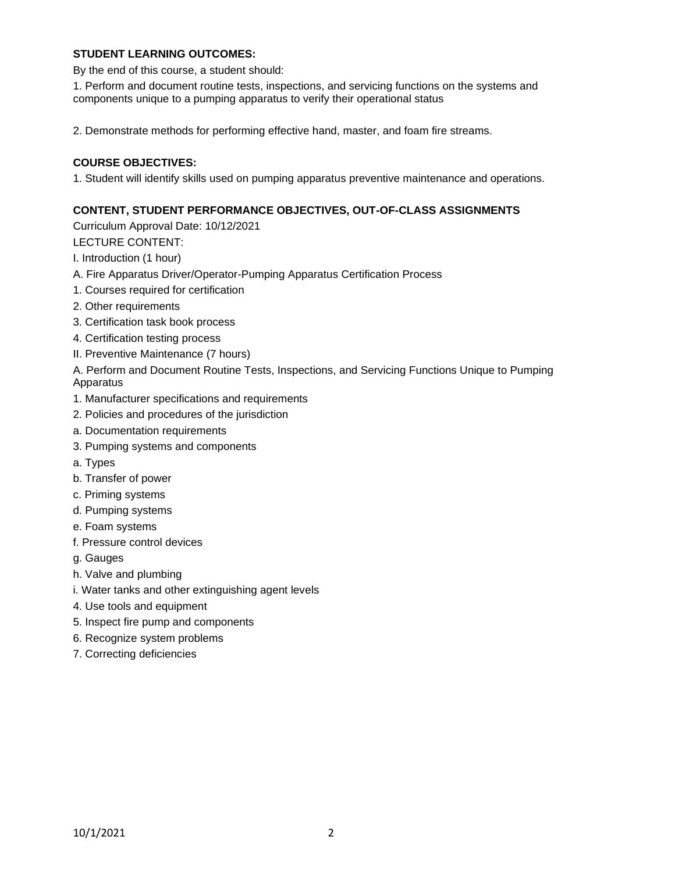## **STUDENT LEARNING OUTCOMES:**

By the end of this course, a student should:

1. Perform and document routine tests, inspections, and servicing functions on the systems and components unique to a pumping apparatus to verify their operational status

2. Demonstrate methods for performing effective hand, master, and foam fire streams.

# **COURSE OBJECTIVES:**

1. Student will identify skills used on pumping apparatus preventive maintenance and operations.

## **CONTENT, STUDENT PERFORMANCE OBJECTIVES, OUT-OF-CLASS ASSIGNMENTS**

Curriculum Approval Date: 10/12/2021

LECTURE CONTENT:

I. Introduction (1 hour)

- A. Fire Apparatus Driver/Operator-Pumping Apparatus Certification Process
- 1. Courses required for certification
- 2. Other requirements
- 3. Certification task book process
- 4. Certification testing process
- II. Preventive Maintenance (7 hours)

A. Perform and Document Routine Tests, Inspections, and Servicing Functions Unique to Pumping Apparatus

- 1. Manufacturer specifications and requirements
- 2. Policies and procedures of the jurisdiction
- a. Documentation requirements
- 3. Pumping systems and components
- a. Types
- b. Transfer of power
- c. Priming systems
- d. Pumping systems
- e. Foam systems
- f. Pressure control devices
- g. Gauges
- h. Valve and plumbing
- i. Water tanks and other extinguishing agent levels
- 4. Use tools and equipment
- 5. Inspect fire pump and components
- 6. Recognize system problems
- 7. Correcting deficiencies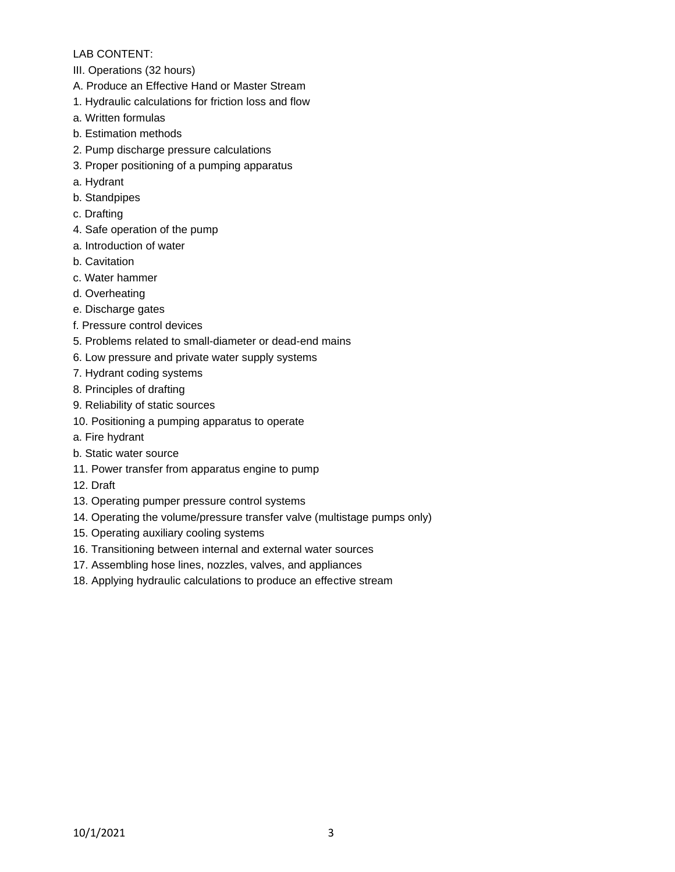## LAB CONTENT:

- III. Operations (32 hours)
- A. Produce an Effective Hand or Master Stream
- 1. Hydraulic calculations for friction loss and flow
- a. Written formulas
- b. Estimation methods
- 2. Pump discharge pressure calculations
- 3. Proper positioning of a pumping apparatus
- a. Hydrant
- b. Standpipes
- c. Drafting
- 4. Safe operation of the pump
- a. Introduction of water
- b. Cavitation
- c. Water hammer
- d. Overheating
- e. Discharge gates
- f. Pressure control devices
- 5. Problems related to small-diameter or dead-end mains
- 6. Low pressure and private water supply systems
- 7. Hydrant coding systems
- 8. Principles of drafting
- 9. Reliability of static sources
- 10. Positioning a pumping apparatus to operate
- a. Fire hydrant
- b. Static water source
- 11. Power transfer from apparatus engine to pump
- 12. Draft
- 13. Operating pumper pressure control systems
- 14. Operating the volume/pressure transfer valve (multistage pumps only)
- 15. Operating auxiliary cooling systems
- 16. Transitioning between internal and external water sources
- 17. Assembling hose lines, nozzles, valves, and appliances
- 18. Applying hydraulic calculations to produce an effective stream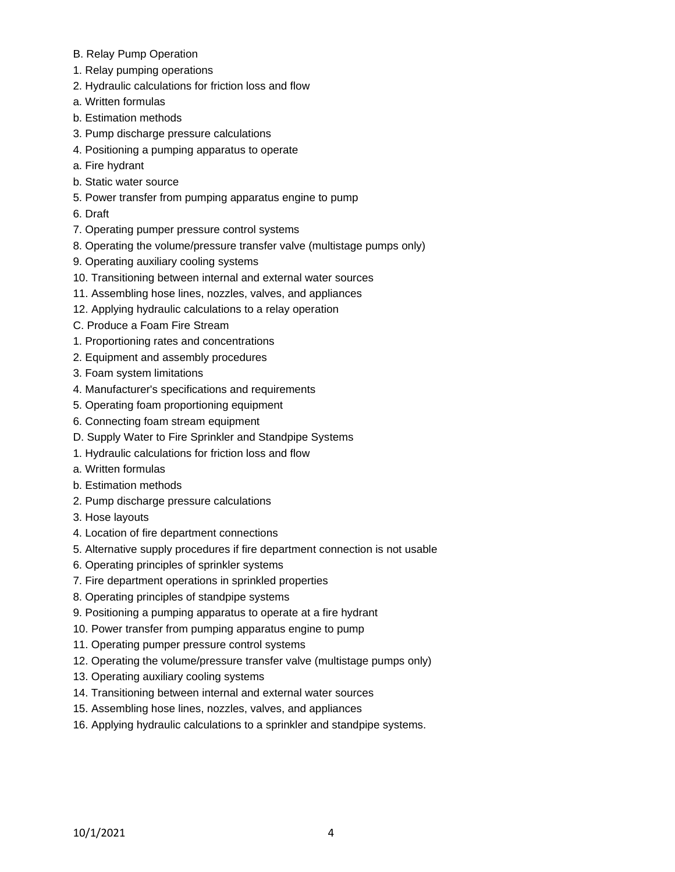- B. Relay Pump Operation
- 1. Relay pumping operations
- 2. Hydraulic calculations for friction loss and flow
- a. Written formulas
- b. Estimation methods
- 3. Pump discharge pressure calculations
- 4. Positioning a pumping apparatus to operate
- a. Fire hydrant
- b. Static water source
- 5. Power transfer from pumping apparatus engine to pump
- 6. Draft
- 7. Operating pumper pressure control systems
- 8. Operating the volume/pressure transfer valve (multistage pumps only)
- 9. Operating auxiliary cooling systems
- 10. Transitioning between internal and external water sources
- 11. Assembling hose lines, nozzles, valves, and appliances
- 12. Applying hydraulic calculations to a relay operation
- C. Produce a Foam Fire Stream
- 1. Proportioning rates and concentrations
- 2. Equipment and assembly procedures
- 3. Foam system limitations
- 4. Manufacturer's specifications and requirements
- 5. Operating foam proportioning equipment
- 6. Connecting foam stream equipment
- D. Supply Water to Fire Sprinkler and Standpipe Systems
- 1. Hydraulic calculations for friction loss and flow
- a. Written formulas
- b. Estimation methods
- 2. Pump discharge pressure calculations
- 3. Hose layouts
- 4. Location of fire department connections
- 5. Alternative supply procedures if fire department connection is not usable
- 6. Operating principles of sprinkler systems
- 7. Fire department operations in sprinkled properties
- 8. Operating principles of standpipe systems
- 9. Positioning a pumping apparatus to operate at a fire hydrant
- 10. Power transfer from pumping apparatus engine to pump
- 11. Operating pumper pressure control systems
- 12. Operating the volume/pressure transfer valve (multistage pumps only)
- 13. Operating auxiliary cooling systems
- 14. Transitioning between internal and external water sources
- 15. Assembling hose lines, nozzles, valves, and appliances
- 16. Applying hydraulic calculations to a sprinkler and standpipe systems.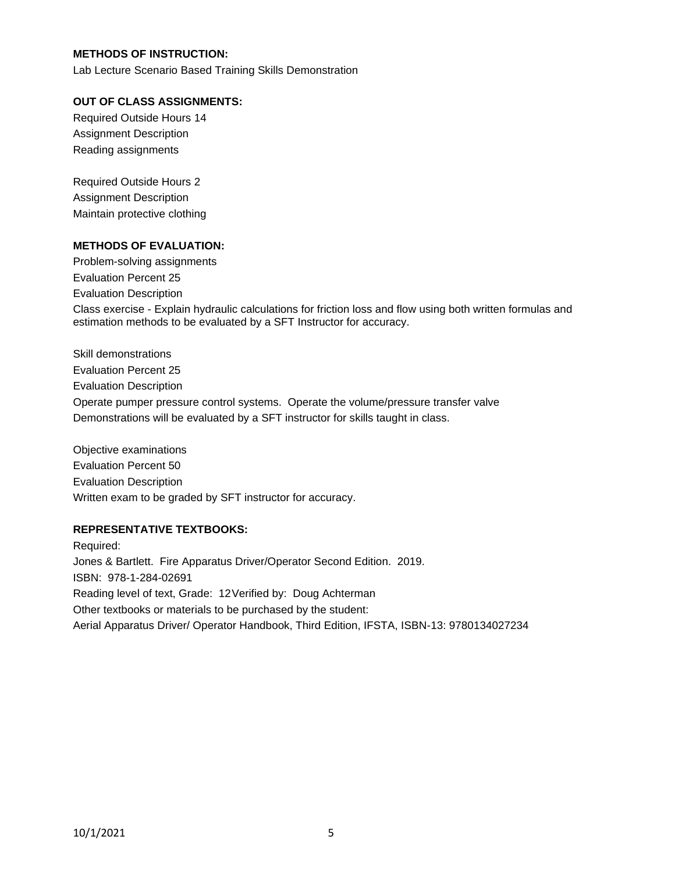## **METHODS OF INSTRUCTION:**

Lab Lecture Scenario Based Training Skills Demonstration

#### **OUT OF CLASS ASSIGNMENTS:**

Required Outside Hours 14 Assignment Description Reading assignments

Required Outside Hours 2 Assignment Description Maintain protective clothing

#### **METHODS OF EVALUATION:**

Problem-solving assignments Evaluation Percent 25 Evaluation Description Class exercise - Explain hydraulic calculations for friction loss and flow using both written formulas and estimation methods to be evaluated by a SFT Instructor for accuracy.

Skill demonstrations Evaluation Percent 25 Evaluation Description Operate pumper pressure control systems. Operate the volume/pressure transfer valve Demonstrations will be evaluated by a SFT instructor for skills taught in class.

Objective examinations Evaluation Percent 50 Evaluation Description Written exam to be graded by SFT instructor for accuracy.

### **REPRESENTATIVE TEXTBOOKS:**

Required: Jones & Bartlett. Fire Apparatus Driver/Operator Second Edition. 2019. ISBN: 978-1-284-02691 Reading level of text, Grade: 12Verified by: Doug Achterman Other textbooks or materials to be purchased by the student: Aerial Apparatus Driver/ Operator Handbook, Third Edition, IFSTA, ISBN-13: 9780134027234